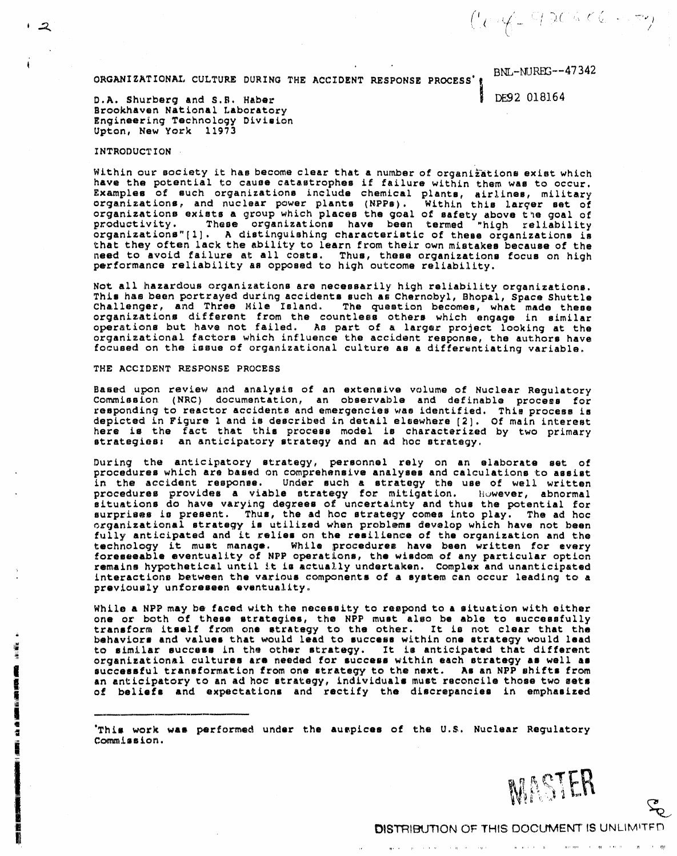ORGANIZATIONAL CULTURE DURING THE ACCIDENT RESPONSE PROCESS' (

**BNL-NUREG--47342** 

 $(1 - 30456)$ 

DE92 018164

D.A. Shurberg and S.B. Haber Brookhaven National Laboratory Engineering Technology Division Upton, New York 11973

# **INTRODUCTION**

 $\sqrt{2}$ 

 $\hat{\bullet}$ No. 40

**CONTRACTOR** 

큹

Within our society it has become clear that a number of organizations exist which have the potential to cause catastrophes if failure within them was to occur. Examples of such organizations include chemical plants, airlines, military<br>organizations, and nuclear power plants (NPPs). Within this larger set of organizations exists a group which places the goal of safety above the goal of productivity. These organizations have been termed "high reliability organizations"[1]. A distinguishing characteristic of these organizations is that they often lack the ability to learn from their own mistakes because of the need to avoid failure at all costs. Thus, these organizations focus on high performance reliability as opposed to high outcome reliability.

Not all hazardous organizations are necessarily high reliability organizations. This has been portrayed during accidents such as Chernobyl, Bhopal, Space Shuttle Challenger, and Three Mile Island. The question becomes, what made these organizations different from the countless others which engage in similar operations but have not failed. As part of a larger project looking at the organizational factors which influence the accident response, the authors have<br>focused on the issue of organizational culture as a differentiating variable.

### THE ACCIDENT RESPONSE PROCESS

Based upon review and analysis of an extensive volume of Nuclear Regulatory Commission (NRC) documentation, an observable and definable process for<br>responding to reactor accidents and emergencies was identified. This process is<br>depicted in Figure 1 and is described in detail elsewhere [2]. Of main here is the fact that this process model is characterized by two primary strategies: an anticipatory strategy and an ad hoc strategy.

During the anticipatory strategy, personnel rely on an elaborate set of procedures which are based on comprehensive analyses and calculations to assist in the accident response. Under such a strategy the use of well written procedures provides a viable strategy for mitigation. However, abnormal situations do have varying degrees of uncertainty and thus the potential for surprises is present. Thus, the ad hoc strategy comes into play. The ad hoc organizational strategy is utilized when problems develop which have not been fully anticipated and it relies on the resilience of the organization and the technology it must manage. While procedures have been written for every foreseeable eventuality of NPP operations, the wisdom of any particular option remains hypothetical until it is actually undertaken. Complex and unanticipated interactions between the various components of a system can occur leading to a previously unforeseen eventuality.

While a NPP may be faced with the necessity to respond to a situation with either one or both of these strategies, the NPP must also be able to successfully transform itself from one strategy to the other. It is not clear that the<br>behaviors and values that would lead to success within one strategy would lead<br>to similar success in the other strategy. It is anticipated that diff organizational cultures are needed for success within each strategy as well as successful transformation from one strategy to the next. As an NPP shifts from an anticipatory to an ad hoc strategy, individuals must reconcile those two sets of beliefs and expectations and rectify the discrepancies in emphasized

This work was performed under the auspices of the U.S. Nuclear Regulatory' Commission.

the contract of the contract of the companies of the companies of the state

ᠼ

appears to provide a second contract of the contract of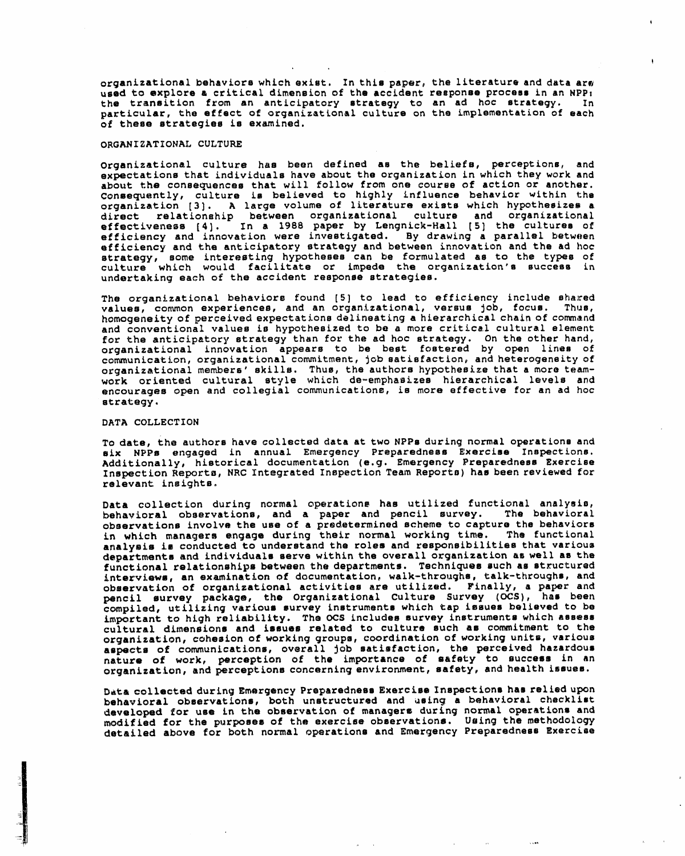*organizational behaviors which exist. In this paper, the literature and data are* **used t**o **e**x**p**l**ore** a **c**riti**ca**l **d**imensi**o**n of th**e acc**id**en**t re**spo**n**se p**ro**ce**ss **i**n a**n** NP**P**: the tr**an**s**i**ti**on fr**om an **a**nti**c**i**pato**r**y st**r**a**te**g**y t**o a**n **ad** hoc s**tra**t**eg**y**. I**n barcicutar, the effect of organizational culture on the representation of eac of **the**s**e** str**ategie**s **i**8 **e**x**ami**n**ed.**

# **O**R**GAN**I**ZAT**I**O**N**AL CULT**UR**E**

**O**rga**n**i**zati**on**al c**ul**ture ha**s b**ee**n d**ef**in**ed a**s **th**e b**el**iefs**, pe**rce**p**ti**o**n**s**, **a**n**d e**x**pec**t**at**i**o**ns **that individual**s **have a**b**out t**he or**ga**n**izatio**n in **which the**y **w**or**k a**n**d a**bou**t th**e **c**ons**eque**n**ces** t**hat** w**i**l**l** f**o**l**l**ow **fr**om **o**ne c**ou**rse **of actio**n **o**r **a**n**othe**r**. Consequ**e**ntly,** c**ul**t**ure** ts **believed to highly i**n**flue**nc**e b**e**ha**vi**o**r w**it**hi**n t**he organizacion [3]. A large volume of ficeracine exists which hypothesizes a dire**ct** rel**at**i**o**n**s**hip b**e**twe**e**n **o**rg**a**niz**at**ion**al c**u**ltu**r**e a**nd **o**rg**a**niz**at**i**o**n**a**l e**ff**ectiv**e**ness [4]. **I**n **a 1**988 pap**e**r b**y** Lengnick-Hal**l** [5] th**e c**u**l**tur**e**s of e**ff**icien**c**y **a**n**d i**nn**o**v**a**tion were investi**g**ated. By drawin**g** a par**a**ll**e**l betwe**e**n **e**f**f**icien**c**y and the **a**nticip**a**tory str**a**tegy **a**nd between innovat**i**on an**d** the **ad** ho**c** str**a**teg**y**, some inter**e**sting hypotheses can be formulated as to the type**s** of cu**lt**ure which woul**d** fa**c**ilitate or imp**e**d**e** the org**a**niz**a**tion's succes**s** in un**d**ertaking e**a**ch of the **a**ccident respons**e s**tr**a**tegies.

The organization**a**l behaviors found [5**]** to lead to efficien**cy** include shaJ:ed v**a**lues, common experienc**e**s, and an organization**al**, v**e**rsus Job, focus. Thus, homogeneity of per**c**eived expectations d**el**in**e**ating a hierarchical chain of command an**d** conv**e**ntional values is hypothesized **t**o be a more critic**al c**ultural **e**lement for the anticipatory strategy than for the ad hoc **s**trategy. On th**e** other hand, organizational innovation appears to be best fostered by **o**pen lines of **co**mmunication, organizationa**l** commitment, j**o**b satisfaction**,** and het**e**rogenei**t**y of **o**r**ga**n**i**z**at**i**o**n**a**l members' skills. Thus, **t**h**e a**u**t**h**o**rs hy**po**th**e**size th**a**t a more teamwor**k** oriented cultural style whi**c**h de-emphasiz**e**s hierarchic**a**l levels and **e**ncourages open and collegia**l** communications, is more effective for an ad hoc str**a**tegy.

#### DATA COLLECTION

To **da**te, th**e** authors h**a**v**e** collected dat**a a**t two N**PPs** durin**g** norma**l** oper**a**tion**s** an**d** s**i**x NPPs eng**a**g**e**d in **a**nn**ual E**mer**g**en**cy** Prep**a**r**e**dn**e**ss **E**x**e**rcis**e I**ns**p**e**c**tions. **Additiona**ll**y**, his**t**o**r**ic**al doc**ument**at**io**n (e.g.** Em**er**g**enc**y P**repar**edn**e**ss Ex**erci**s**e I**ns**p**e**ct**io**n** R**e.po**rt**o**, N**RC** In**tegr**a**te**d **I**ns**p**ec**t**ion **Tea**m **Repo**r**ts) ha**s **b**een r**ev**i**ewe**d f**or releva**n**t** ins**igh**ts.

**Da**t**a co**l**lect**i**on du**ring **nor**ma**l** o**p**e**ratio**n\_ **ha**s **u**ti**l**ized **fu**n**ctiona**l **a**na**l**y**sis,** b**e**h**a**vior**a**l **o**bse**r**v**at**ions, **a**nd **a pa**p**e**r **a**nd pen**c**i**l** sur**vey**. **T**he b**e**h**a**vi**o**r**a**l obs**erva**tions involve the use of **a** pre**d**etermine**d** scheme to c**a**ptur**e** the beh**a**viors in which m**a**n**a**gers eng**a**g**e d**uring their norm**a**l working tim**e**. The **f**unc**t**ional analysis is conducted to understand the roles and responsibilities that various<br>departments and individuals serve within the overall organization as well as the **d**e**par**tme**nt**s an**d** indivi**dua**l**s** s**e**rv**e** within th**e** ov**e**r**a**ll org**a**nization **a**s w**e**l**l a**s th**e fu**n**c**ti**o**n**a**l re**la**ti**o**nships b**e**tw**e**en **t**h**e** d**epart**m**e**n**t**s. **Tec**hniques **s**u**ch as s**tru**c**tured intervi**e**ws, **a**n **e**x**a**min**a**tion **o**f **d**ocum**e**nt**a**tio**n**, walk-**t**hrough**s**, t**a**lk-through**s**, an**d** observation of organizational activities are utilized. Finally, a paper and pencil survey package, the Organizational Culture Survey (OCS), has been pen**c**il s**u**rve**y** p**ac**kag**e**, th**e O**rganiz**a**tion**a**l Culture **S**urv**ey** (O**CS**), ha**s** been **co**m**pi**l**e**d, uti**l**izin**g** v**a**rio**u**s surve**y** instrumen**t**s whi**c**h t**a**p Issues be**li**eve**d** to be im**p**o**r**t**a**n**t** t**o** hi**g**h reli**a**bi**li**t**y**. **T**he S C**S** in**c**lud**e**s survey instrument**s** which assess **c**ul**t**ur**al d**imension**s a**nd issu**e**s r**e**lated to **c**ultur**e** su**c**h **a**s **c**ommi**t**m**e**n**t** to th**e** or**ga**nizat**io**n, c**o**h**e**sion o**f** working group**s**, coord**i**n**a**tion of **w**orking units, variou**s as**pect**8** of commun**ic**ationm, overa**l**l Job satimfa**c**t**i**on, the **p**erc**e**ive**d** h**a**zard**o**u**s** n**a**tu**r**e o**f** work, **p**erce**p**tion of the im**p**ortance o**f** s**a**fe**t**y to succ**e**ss **i**n an organiz**a**tion, **a**nd perce**p**tions con**c**erning environment, s**a**fe**t**y, **a**nd he**a**lth issu**e**s.

**Da**ta **co**llected **dur**in**g** E**m**ergency **P**r**epare**dn**e**ss E**xe**r**c**is**e In**s**pect**i**o**n**s** h**am** reli**e**d u**p**on b**e**h**av**io**ra**l obser**va**tions, both unstru**c**ture**d a**nd using **a** beh**a**vior**a**l checkli**s**t **d**e**ve**lo**p**ed f**or us**e i**n** the ob**se**rv**at**io**n** of m**a**n**a**g**e**rs **d**urin**g** n**o**rm**a**l o**p**e**r**ations **a**nd modi**f**i**ed f**or th**e** purposes o**f t**he **e**xer**ci**se obs**e**rvations. U**s**ing the metho**d**o**l**ogy d**e**t**a**i**l**e**d a**bov**e f**or both noz\_al op**e**r**a**tions **a**nd **E**m**e**rgen**cy P**r**ep**ar**e**d**ness Ex**erci**s**e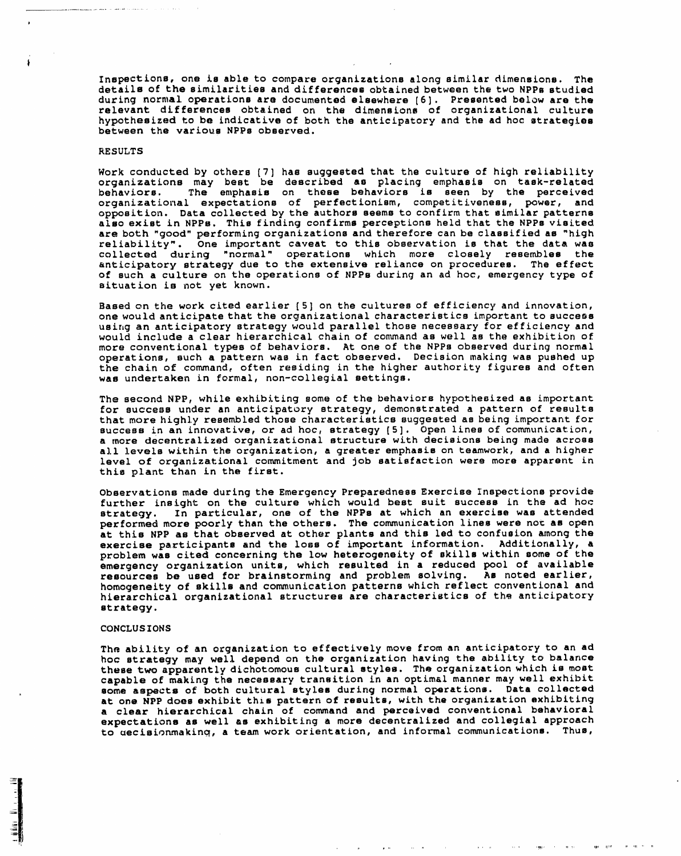**In**sp**e**cti**o**ns, **one** i**s** able **to co**mp**a**re org**an**izations alo**n**g simila**r** di**men**sions. T**h**e details of the similarities and differences obtained between the two N**PP**s studied during normal o**p**erations are documented elsewhere [6]. **P**resented below are the relevant differences obtained on the dimensions of organizational cultu hypothesized to be indicative of both the anticipatory and the ad hoc strategies b**et**w**e**en **t**h**e va**rious N**P**Ps obse**r**ve**d**.

### RESULTS

Wo**r**k **c**onducted by others [7] has suggested th**a**t the culture of high r**e**liabilit**y** organizations may b**e**st be described a**s** placing emphasis on task-rel**a**ted beh**a**viors. Th**e** emphasis on thes**e** behaviors is seen by the per**c**eived organiz**a**tional expectations of perfectionism, competitiveness, pow**e**r, and op**p**osition. Dat**a** collecte**d** by the authors seems to confirm that simil**a**r patterns aloe e**x**is**t** in N**PP**s. This **f**inding con**f**irms perceptions he**l**d **t**hat the N**P**Ps visite**d a**re both "go**o**d" per**f**orming organizations **a**nd therefore can be classified **a**s "high reliability". One important caveat to this observation is th**a**t the **d**at**a** was collected during **"**normal" operations which more closel**y** resembles the anticipatory strategy due to the e**x**ten**s**ive reliance on procedures. Th**e** effect of such a culture on the opera**t**ions of NP**P**B during an ad hoc, emergency type of situation is not y**e**t known.

Based on the wor**k** cited earlier **[**5] on the cu**l**tures of efficiency and innovati**o**n, one wou**l**d antici**pa**te that the organiz**a**tion**a**l characteristi**c**s important to success using an anticipatory strategy would parallel those necessary for efficiency and would include a clear hi**e**rarchical ch**a**in of co**n**unand a**s** well as the e**x**hibition of more conventional types of behaviors. A**t** one of the NPP**s** observed during normal op**e**rati**o**ns**,** such **a** pattern was in fact observed. Deci**s**ion making was pushed up the ch**a**in of command**,** often residing in the higher authority figures and often w**a**s undertaken in formal, non-**c**ollegial settings.

Th**e** s**e**cond N**PP**, while exhibiting **s**ome of the behaviors h**y**pothesized as important for success under an anticipatory strategy, demonstrated a pattern of results that more high].y resembl**e**d those **c**haracteristics suggested as being important f**o**r **s**uccess in an innovative, or ad hoc, strategy [5]. **O**pen lin**e**s of communication, a more decentraliz**e**d organizational stru**c**tur**e** with de**c**isions being made acro**s**s **a**ll le**v**els within the org**a**nization**,** a gr**ea**ter **e**mphasis on t**e**amwork, and **a** higher level **o**f org**a**ni**za**tion**a**l commitment and Job s**a**tis**fa**ction wer**e** more appar**e**nt in this plant than in the first.

Ob**s**erv**a**tion**s** mad**e** during **t**he Emergenc**y** Preparedness **Ex**ercis**e** Inspections provid**e** further insight on **t**he culture which woul**d** best suit success in the ad hoc strateg**y**. In particular, one of the NP**P**s at which an e**x**ercise was att**e**nded performed more poorly than the others. The **c**ommuni**c**ation hines were nok as open **a**t this N**P**P as that ob**s**erved at other plants **a**nd **t**his led to confusion among the **ex**ercise participan**t**s and the loss of im**p**ort**a**nt information. Additionally, **a** problem was cite**d** conc**e**rnin**g** the low heterog**e**nei**ty** of skil**l**s within som**e** of the emerge**ncy** organiz**a**tion units, which r**e**sult**e**d in a r**e**duced pool of available resour**c**es be used **f**or br**a**in**s**torming and problem solving. Ae not**e**d ear**l**ier, homogeneit**y** of ski**l**ls **a**nd communic**a**tion pa**t**terns which ref**l**ect conventional and hierar**c**hical organizational structures are characteristics of th\_ anti**c**ipatory str**at**egy.

### CONCLUS **I**ONS

The ability **o**f an or**ga**niz**a**tion to effe**c**tivel**y** mo**v**e from **a**n anticipatory to **a**n ad ho**c** strate**gy** ma**y** w**e**l**l** d**e**pend on the org**a**nization h**a**ving the **a**bi**l**ity to b**a**l**a**n**c**e these two apparentl**y** dichotomous cultur**al** styles. The organization which is most **ca**pabl**e** of m**a**king th**e** necessar**y** transition in an optimal manner ma**y** w**e**ll e**x**hibit **s**ome **a**spec**t**s o**f** bo**th cu**l**t**ur**al st**yl**e**s **dur**ing n**o**rm**a**l **o**p**e**r**a**ti**o**ns. Dat**a co**lle**c**ted **at** one **NPP** does e**x**hibit this pattern of r**e**s**u**l**t**s, with the organiz**at**ion **ex**hibiting **a c**le**ar** hier**a**rchi**c**al ch**a**in of comm**a**nd **a**nd perc**e**ived convention**a**l b**e**h**a**vior**a**l e**xp**e**c**t**a**tions as well as e**x**hibiting a mor**e** dec**e**n**t**r**a**liz**e**d **a**nd **c**o**lle**gi**a**l **a**pproach **t**o uecisionmakin\_, a team work orient**a**tion, and **i**nformal communications. Thus,

 $\alpha$  ,  $\alpha$  ,  $\alpha$  ,  $\alpha$ 

 $\sim 100$  km  $^{-1}$ 

**CHARLES CONTRACTOR** 

 $-0.01$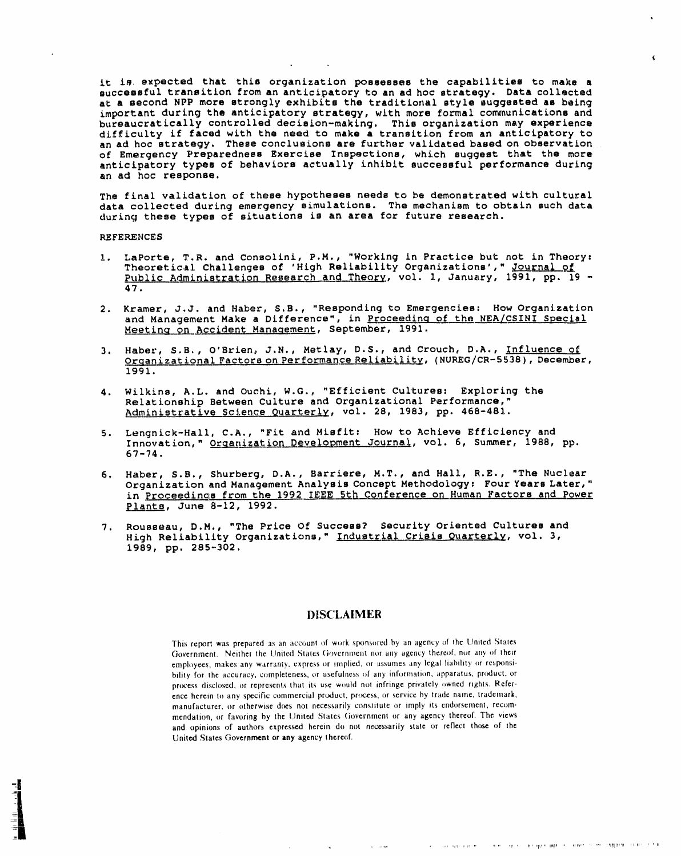it is expected that this organization possesses the capabilities to make a successful transition from an anticipatory to an ad hoc strategy. Data collected at a second NPP more strongly exhibits the traditional style suggested as being important during the anticipatory strategy, with more formal communications and bureaucratically controlled decision-making. This organization may experience difficulty if faced with the need to make a transition from an anticipatory to an ad hoc strategy. These conclusions are further validated based on observation of Emergency Preparedness Exercise Inspections, which suggest that the more anticipatory types of behaviors actually inhibit successful performance during an ad hoc response.

The final validation of these hypotheses needs to be demonstrated with cultural data collected during emergency simulations. The mechanism to obtain such data during these types of situations is an area for future research.

# **REFERENCES**

- LaPorte, T.R. and Consolini, P.M., "Working in Practice but not in Theory:  $1.$ Theoretical Challenges of 'High Reliability Organizations', " Journal of Public Administration Research and Theory, vol. 1, January, 1991, pp. 19 -47.
- 2. Kramer, J.J. and Haber, S.B., "Responding to Emergencies: How Organization and Management Make a Difference", in Proceeding of the NEA/CSINI Special Meeting on Accident Management, September, 1991.
- 3. Haber, S.B., O'Brien, J.N., Metlay, D.S., and Crouch, D.A., Influence of Organizational Factors on Performance Reliability, (NUREG/CR-5538), December, 1991.
- 4. Wilkins, A.L. and Ouchi, W.G., "Efficient Cultures: Exploring the Relationship Between Culture and Organizational Performance," Administrative Science Quarterly, vol. 28, 1983, pp. 468-481.
- Lengnick-Hall, C.A., "Fit and Misfit: How to Achieve Efficiency and  $5.$ Innovation, " Organization Development Journal, vol. 6, Summer, 1988, pp.  $67 - 74.$
- 6. Haber, S.B., Shurberg, D.A., Barriere, M.T., and Hall, R.E., "The Nuclear Organization and Management Analysis Concept Methodology: Four Years Later," in Proceedings from the 1992 IEEE 5th Conference on Human Factors and Power Plants, June 8-12, 1992.
- 7. Rousseau, D.M., "The Price Of Success? Security Oriented Cultures and High Reliability Organizations," Industrial Crisis Quarterly, vol. 3, 1989, pp. 285-302.

# **DISCLAIMER**

This report was prepared as an account of work sponsored by an agency of the United States Government. Neither the United States Government nor any agency thereof, nor any of their employees, makes any warranty, express or implied, or assumes any legal liability or responsibility for the accuracy, completeness, or usefulness of any information, apparatus, product, or process disclosed, or represents that its use would not infringe privately owned rights. Reference herein to any specific commercial product, process, or service by trade name, trademark, manufacturer, or otherwise does not necessarily constitute or imply its endorsement, recommendation, or favoring by the United States Government or any agency thereof. The views and opinions of authors expressed herein do not necessarily state or reflect those of the United States Government or any agency thereof.

 $\mathbf{A}$ 

 $\mathbf{u} = (x, y)$  .

common contract in the representation of the contract of the property of the contract of the

 $\alpha$  , and appear in  $\theta$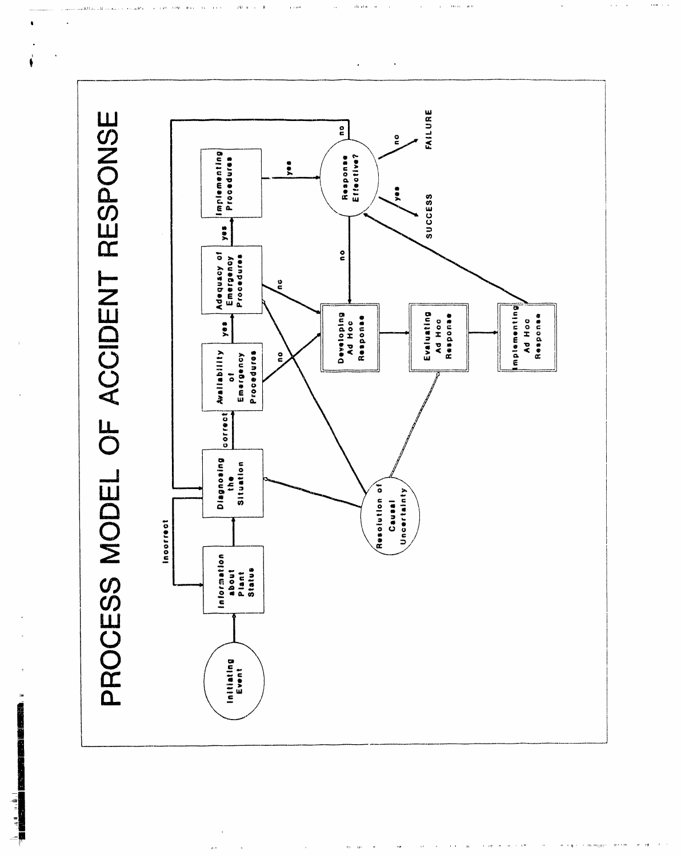

 $\overline{\phantom{a}}$ 

 $\alpha$  is

 $\alpha=0.41$ 

 $2.3000100$ 

sh sta  $\bar{a}$ 

 $\mathcal{P} \mathcal{U}$  for  $\mathcal{U} \times \mathcal{U} \to \mathcal{U}$ 

 $\epsilon$  is not

 $\mathbf{a}$  is  $\mathbf{c}$  $\alpha$  $\alpha \neq 0$ 

 $\sim$  0.0  $\mu$   $\sim$  0.0

 $\alpha$  .

 $\epsilon$  ).